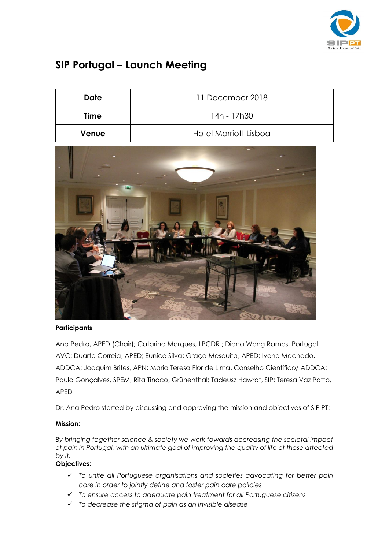

## **SIP Portugal – Launch Meeting**

| Date  | 11 December 2018             |
|-------|------------------------------|
| Time  | 14h - 17h30                  |
| Venue | <b>Hotel Marriott Lisboa</b> |



## **Participants**

Ana Pedro, APED (Chair); Catarina Marques, LPCDR ; Diana Wong Ramos, Portugal AVC; Duarte Correia, APED; Eunice Silva; Graça Mesquita, APED; Ivone Machado, ADDCA; Joaquim Brites, APN; Maria Teresa Flor de Lima, Conselho Científico/ ADDCA; Paulo Gonçalves, SPEM; Rita Tinoco, Grünenthal; Tadeusz Hawrot, SIP; Teresa Vaz Patto, APED

Dr. Ana Pedro started by discussing and approving the mission and objectives of SIP PT:

## **Mission:**

*By bringing together science & society we work towards decreasing the societal impact of pain in Portugal, with an ultimate goal of improving the quality of life of those affected by it.*

## **Objectives:**

- *To unite all Portuguese organisations and societies advocating for better pain care in order to jointly define and foster pain care policies*
- *To ensure access to adequate pain treatment for all Portuguese citizens*
- *To decrease the stigma of pain as an invisible disease*